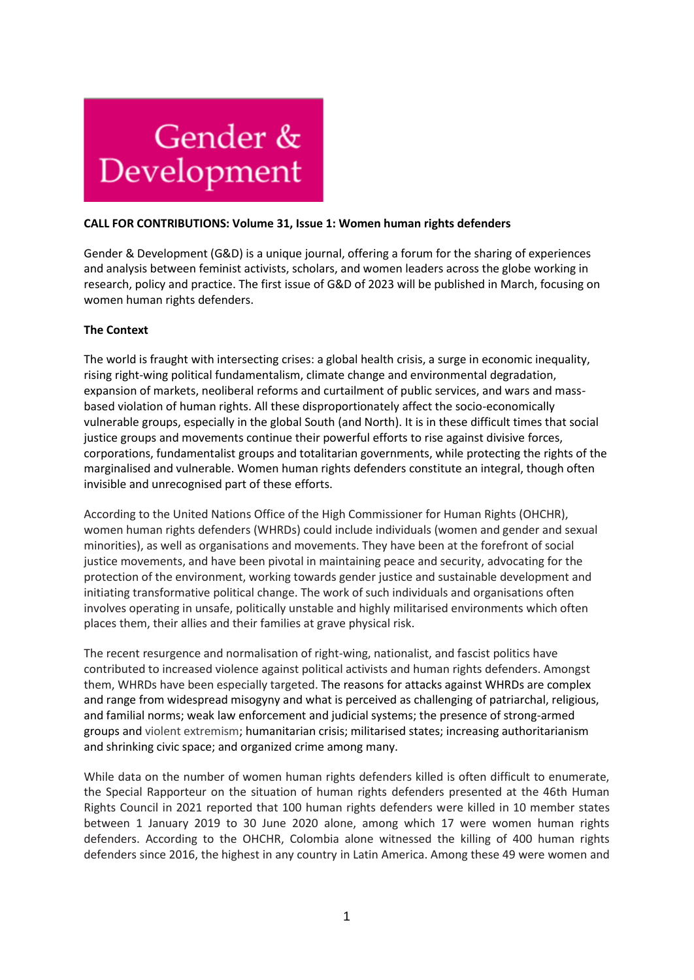

#### **CALL FOR CONTRIBUTIONS: Volume 31, Issue 1: Women human rights defenders**

Gender & Development (G&D) is a unique journal, offering a forum for the sharing of experiences and analysis between feminist activists, scholars, and women leaders across the globe working in research, policy and practice. The first issue of G&D of 2023 will be published in March, focusing on women human rights defenders.

## **The Context**

The world is fraught with intersecting crises: a global health crisis, a surge in economic inequality, rising right-wing political fundamentalism, climate change and environmental degradation, expansion of markets, neoliberal reforms and curtailment of public services, and wars and massbased violation of human rights. All these disproportionately affect the socio-economically vulnerable groups, especially in the global South (and North). It is in these difficult times that social justice groups and movements continue their powerful efforts to rise against divisive forces, corporations, fundamentalist groups and totalitarian governments, while protecting the rights of the marginalised and vulnerable. Women human rights defenders constitute an integral, though often invisible and unrecognised part of these efforts.

According to the United Nations Office of the High Commissioner for Human Rights (OHCHR), women human rights defenders (WHRDs) could include individuals (women and gender and sexual minorities), as well as organisations and movements. They have been at the forefront of social justice movements, and have been pivotal in maintaining peace and security, advocating for the protection of the environment, working towards gender justice and sustainable development and initiating transformative political change. The work of such individuals and organisations often involves operating in unsafe, politically unstable and highly militarised environments which often places them, their allies and their families at grave physical risk.

The recent resurgence and normalisation of right-wing, nationalist, and fascist politics have contributed to increased violence against political activists and human rights defenders. Amongst them, WHRDs have been especially targeted. The reasons for attacks against WHRDs are complex and range from widespread misogyny and what is perceived as challenging of patriarchal, religious, and familial norms; weak law enforcement and judicial systems; the presence of strong-armed groups and violent extremism; humanitarian crisis; militarised states; increasing authoritarianism and shrinking civic space; and organized crime among many.

While data on the number of women human rights defenders killed is often difficult to enumerate, the Special Rapporteur on the situation of human rights defenders presented at the 46th Human Rights Council in 2021 reported that 100 human rights defenders were killed in 10 member states between 1 January 2019 to 30 June 2020 alone, among which 17 were women human rights defenders. According to the OHCHR, Colombia alone witnessed the killing of 400 human rights defenders since 2016, the highest in any country in Latin America. Among these 49 were women and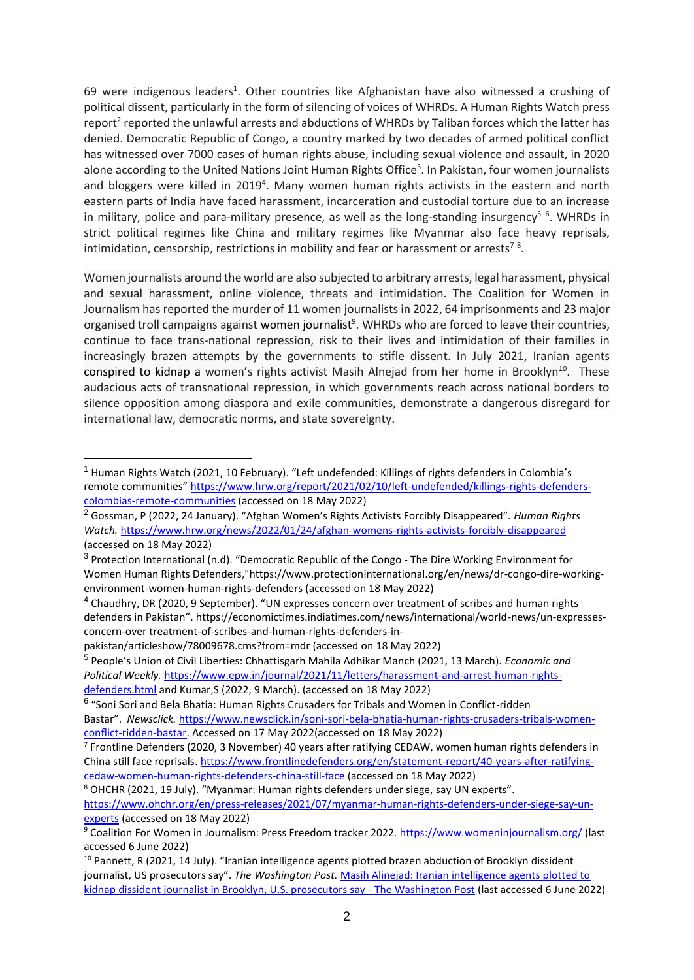69 were indigenous leaders<sup>1</sup>. Other countries like Afghanistan have also witnessed a crushing of political dissent, particularly in the form of silencing of voices of WHRDs. A Human Rights Watch press report<sup>2</sup> reported the unlawful arrests and abductions of WHRDs by Taliban forces which the latter has denied. Democratic Republic of Congo, a country marked by two decades of armed political conflict has witnessed over 7000 cases of human rights abuse, including sexual violence and assault, in 2020 alone according to the United Nations Joint Human Rights Office<sup>3</sup>. In Pakistan, four women journalists and bloggers were killed in 2019<sup>4</sup>. Many women human rights activists in the eastern and north eastern parts of India have faced harassment, incarceration and custodial torture due to an increase in military, police and para-military presence, as well as the long-standing insurgency<sup>56</sup>. WHRDs in strict political regimes like China and military regimes like Myanmar also face heavy reprisals, intimidation, censorship, restrictions in mobility and fear or harassment or arrests<sup>78</sup>.

Women journalists around the world are also subjected to arbitrary arrests, legal harassment, physical and sexual harassment, online violence, threats and intimidation. The Coalition for Women in Journalism has reported the murder of 11 women journalists in 2022, 64 imprisonments and 23 major organised troll campaigns against women journalist<sup>9</sup>. WHRDs who are forced to leave their countries, continue to face trans-national repression, risk to their lives and intimidation of their families in increasingly brazen attempts by the governments to stifle dissent. In July 2021, Iranian agents conspired to kidnap a women's rights activist Masih Alnejad from her home in Brooklyn<sup>10</sup>. These audacious acts of transnational repression, in which governments reach across national borders to silence opposition among diaspora and exile communities, demonstrate a dangerous disregard for international law, democratic norms, and state sovereignty.

<sup>1</sup> Human Rights Watch (2021, 10 February). "Left undefended: Killings of rights defenders in Colombia's remote communities" [https://www.hrw.org/report/2021/02/10/left-undefended/killings-rights-defenders](https://www.hrw.org/report/2021/02/10/left-undefended/killings-rights-defenders-colombias-remote-communities)[colombias-remote-communities](https://www.hrw.org/report/2021/02/10/left-undefended/killings-rights-defenders-colombias-remote-communities) (accessed on 18 May 2022)

<sup>2</sup> Gossman, P (2022, 24 January). "Afghan Women's Rights Activists Forcibly Disappeared". *Human Rights Watch.* <https://www.hrw.org/news/2022/01/24/afghan-womens-rights-activists-forcibly-disappeared> (accessed on 18 May 2022)

<sup>&</sup>lt;sup>3</sup> Protection International (n.d). "Democratic Republic of the Congo - The Dire Working Environment for Women Human Rights Defenders,"https://www.protectioninternational.org/en/news/dr-congo-dire-workingenvironment-women-human-rights-defenders (accessed on 18 May 2022)

<sup>&</sup>lt;sup>4</sup> Chaudhry, DR (2020, 9 September). "UN expresses concern over treatment of scribes and human rights defenders in Pakistan". https://economictimes.indiatimes.com/news/international/world-news/un-expressesconcern-over treatment-of-scribes-and-human-rights-defenders-in-

pakistan/articleshow/78009678.cms?from=mdr (accessed on 18 May 2022)

<sup>5</sup> People's Union of Civil Liberties: Chhattisgarh Mahila Adhikar Manch (2021, 13 March). *Economic and Political Weekly.* [https://www.epw.in/journal/2021/11/letters/harassment-and-arrest-human-rights](https://www.epw.in/journal/2021/11/letters/harassment-and-arrest-human-rights-defenders.html)[defenders.html](https://www.epw.in/journal/2021/11/letters/harassment-and-arrest-human-rights-defenders.html) and Kumar,S (2022, 9 March). (accessed on 18 May 2022)

<sup>&</sup>lt;sup>6</sup> "Soni Sori and Bela Bhatia: Human Rights Crusaders for Tribals and Women in Conflict-ridden Bastar". *Newsclick.* [https://www.newsclick.in/soni-sori-bela-bhatia-human-rights-crusaders-tribals-women](https://www.newsclick.in/soni-sori-bela-bhatia-human-rights-crusaders-tribals-women-conflict-ridden-bastar)[conflict-ridden-bastar.](https://www.newsclick.in/soni-sori-bela-bhatia-human-rights-crusaders-tribals-women-conflict-ridden-bastar) Accessed on 17 May 2022(accessed on 18 May 2022)

<sup>&</sup>lt;sup>7</sup> Frontline Defenders (2020, 3 November) 40 years after ratifying CEDAW, women human rights defenders in China still face reprisals. [https://www.frontlinedefenders.org/en/statement-report/40-years-after-ratifying](https://www.frontlinedefenders.org/en/statement-report/40-years-after-ratifying-cedaw-women-human-rights-defenders-china-still-face)[cedaw-women-human-rights-defenders-china-still-face](https://www.frontlinedefenders.org/en/statement-report/40-years-after-ratifying-cedaw-women-human-rights-defenders-china-still-face) (accessed on 18 May 2022)

<sup>8</sup> OHCHR (2021, 19 July). "Myanmar: Human rights defenders under siege, say UN experts". [https://www.ohchr.org/en/press-releases/2021/07/myanmar-human-rights-defenders-under-siege-say-un](https://www.ohchr.org/en/press-releases/2021/07/myanmar-human-rights-defenders-under-siege-say-un-experts)[experts](https://www.ohchr.org/en/press-releases/2021/07/myanmar-human-rights-defenders-under-siege-say-un-experts) (accessed on 18 May 2022)

<sup>9</sup> Coalition For Women in Journalism: Press Freedom tracker 2022.<https://www.womeninjournalism.org/> (last accessed 6 June 2022)

<sup>&</sup>lt;sup>10</sup> Pannett, R (2021, 14 July). "Iranian intelligence agents plotted brazen abduction of Brooklyn dissident journalist, US prosecutors say". *The Washington Post.* [Masih Alinejad: Iranian intelligence agents plotted to](https://www.washingtonpost.com/world/2021/07/14/iran-journalist-kidnapping-alinejad/)  [kidnap dissident journalist in Brooklyn, U.S. prosecutors say -](https://www.washingtonpost.com/world/2021/07/14/iran-journalist-kidnapping-alinejad/) The Washington Post (last accessed 6 June 2022)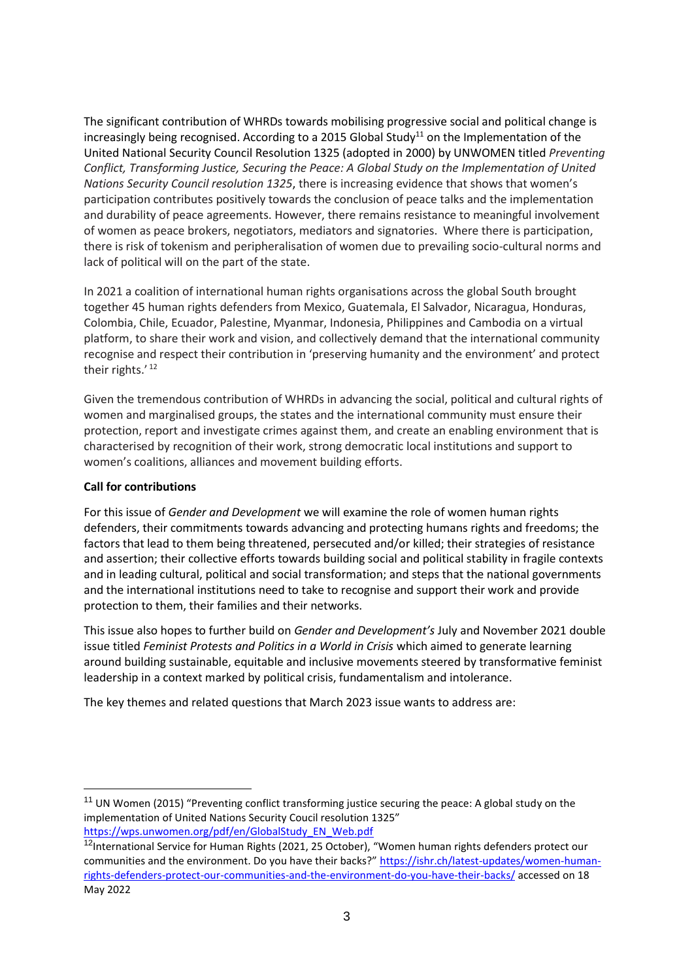The significant contribution of WHRDs towards mobilising progressive social and political change is increasingly being recognised. According to a 2015 Global Study<sup>11</sup> on the Implementation of the United National Security Council Resolution 1325 (adopted in 2000) by UNWOMEN titled *Preventing Conflict, Transforming Justice, Securing the Peace: A Global Study on the Implementation of United Nations Security Council resolution 1325*, there is increasing evidence that shows that women's participation contributes positively towards the conclusion of peace talks and the implementation and durability of peace agreements. However, there remains resistance to meaningful involvement of women as peace brokers, negotiators, mediators and signatories. Where there is participation, there is risk of tokenism and peripheralisation of women due to prevailing socio-cultural norms and lack of political will on the part of the state.

In 2021 a coalition of international human rights organisations across the global South brought together 45 human rights defenders from Mexico, Guatemala, El Salvador, Nicaragua, Honduras, Colombia, Chile, Ecuador, Palestine, Myanmar, Indonesia, Philippines and Cambodia on a virtual platform, to share their work and vision, and collectively demand that the international community recognise and respect their contribution in 'preserving humanity and the environment' and protect their rights.'<sup>12</sup>

Given the tremendous contribution of WHRDs in advancing the social, political and cultural rights of women and marginalised groups, the states and the international community must ensure their protection, report and investigate crimes against them, and create an enabling environment that is characterised by recognition of their work, strong democratic local institutions and support to women's coalitions, alliances and movement building efforts.

# **Call for contributions**

For this issue of *Gender and Development* we will examine the role of women human rights defenders, their commitments towards advancing and protecting humans rights and freedoms; the factors that lead to them being threatened, persecuted and/or killed; their strategies of resistance and assertion; their collective efforts towards building social and political stability in fragile contexts and in leading cultural, political and social transformation; and steps that the national governments and the international institutions need to take to recognise and support their work and provide protection to them, their families and their networks.

This issue also hopes to further build on *Gender and Development's* July and November 2021 double issue titled *Feminist Protests and Politics in a World in Crisis* which aimed to generate learning around building sustainable, equitable and inclusive movements steered by transformative feminist leadership in a context marked by political crisis, fundamentalism and intolerance.

The key themes and related questions that March 2023 issue wants to address are:

<sup>&</sup>lt;sup>11</sup> UN Women (2015) "Preventing conflict transforming justice securing the peace: A global study on the implementation of United Nations Security Coucil resolution 1325" [https://wps.unwomen.org/pdf/en/GlobalStudy\\_EN\\_Web.pdf](https://wps.unwomen.org/pdf/en/GlobalStudy_EN_Web.pdf)

<sup>&</sup>lt;sup>12</sup>International Service for Human Rights (2021, 25 October), "Women human rights defenders protect our communities and the environment. Do you have their backs?" [https://ishr.ch/latest-updates/women-human](https://ishr.ch/latest-updates/women-human-rights-defenders-protect-our-communities-and-the-environment-do-you-have-their-backs/)[rights-defenders-protect-our-communities-and-the-environment-do-you-have-their-backs/](https://ishr.ch/latest-updates/women-human-rights-defenders-protect-our-communities-and-the-environment-do-you-have-their-backs/) accessed on 18 May 2022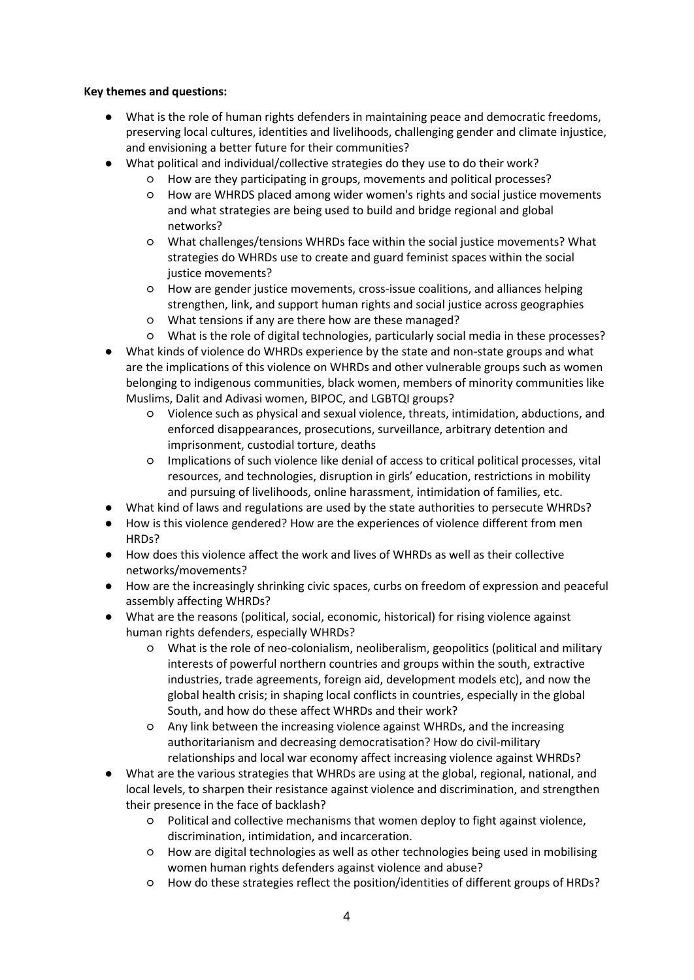# **Key themes and questions:**

- What is the role of human rights defenders in maintaining peace and democratic freedoms, preserving local cultures, identities and livelihoods, challenging gender and climate injustice, and envisioning a better future for their communities?
- What political and individual/collective strategies do they use to do their work?
	- How are they participating in groups, movements and political processes?
	- How are WHRDS placed among wider women's rights and social justice movements and what strategies are being used to build and bridge regional and global networks?
	- What challenges/tensions WHRDs face within the social justice movements? What strategies do WHRDs use to create and guard feminist spaces within the social justice movements?
	- How are gender justice movements, cross-issue coalitions, and alliances helping strengthen, link, and support human rights and social justice across geographies
	- What tensions if any are there how are these managed?
	- What is the role of digital technologies, particularly social media in these processes?
- What kinds of violence do WHRDs experience by the state and non-state groups and what are the implications of this violence on WHRDs and other vulnerable groups such as women belonging to indigenous communities, black women, members of minority communities like Muslims, Dalit and Adivasi women, BIPOC, and LGBTQI groups?
	- Violence such as physical and sexual violence, threats, intimidation, abductions, and enforced disappearances, prosecutions, surveillance, arbitrary detention and imprisonment, custodial torture, deaths
	- Implications of such violence like denial of access to critical political processes, vital resources, and technologies, disruption in girls' education, restrictions in mobility and pursuing of livelihoods, online harassment, intimidation of families, etc.
- What kind of laws and regulations are used by the state authorities to persecute WHRDs?
- How is this violence gendered? How are the experiences of violence different from men HRDs?
- How does this violence affect the work and lives of WHRDs as well as their collective networks/movements?
- How are the increasingly shrinking civic spaces, curbs on freedom of expression and peaceful assembly affecting WHRDs?
- What are the reasons (political, social, economic, historical) for rising violence against human rights defenders, especially WHRDs?
	- What is the role of neo-colonialism, neoliberalism, geopolitics (political and military interests of powerful northern countries and groups within the south, extractive industries, trade agreements, foreign aid, development models etc), and now the global health crisis; in shaping local conflicts in countries, especially in the global South, and how do these affect WHRDs and their work?
	- Any link between the increasing violence against WHRDs, and the increasing authoritarianism and decreasing democratisation? How do civil-military relationships and local war economy affect increasing violence against WHRDs?
- What are the various strategies that WHRDs are using at the global, regional, national, and local levels, to sharpen their resistance against violence and discrimination, and strengthen their presence in the face of backlash?
	- Political and collective mechanisms that women deploy to fight against violence, discrimination, intimidation, and incarceration.
	- How are digital technologies as well as other technologies being used in mobilising women human rights defenders against violence and abuse?
	- How do these strategies reflect the position/identities of different groups of HRDs?